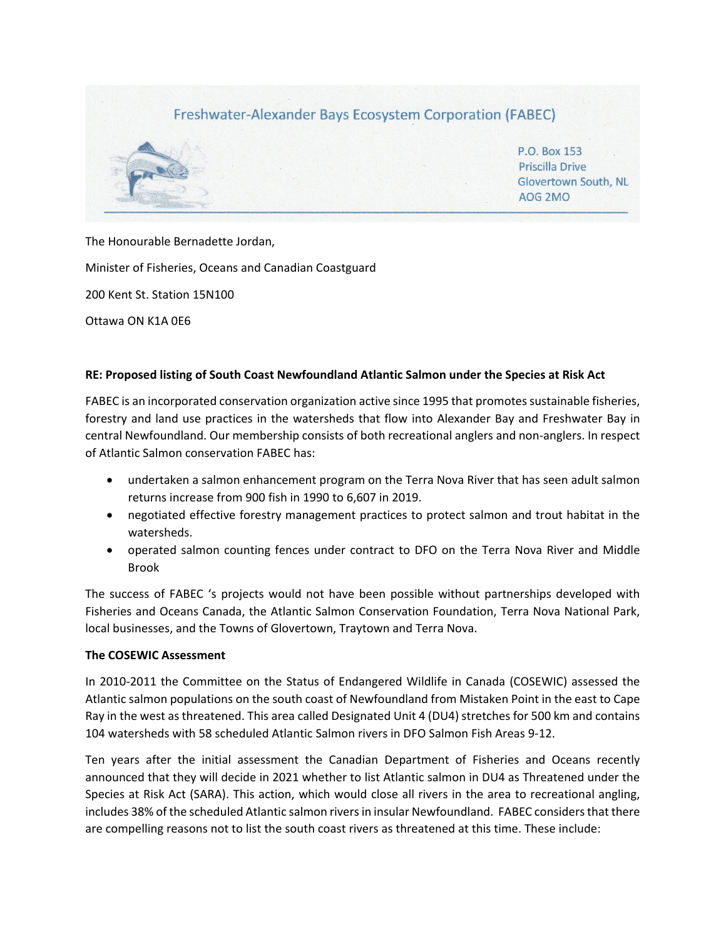

The Honourable Bernadette Jordan,

Minister of Fisheries, Oceans and Canadian Coastguard

200 Kent St. Station 15N100

Ottawa ON K1A 0E6

#### **RE: Proposed listing of South Coast Newfoundland Atlantic Salmon under the Species at Risk Act**

FABEC is an incorporated conservation organization active since 1995 that promotes sustainable fisheries, forestry and land use practices in the watersheds that flow into Alexander Bay and Freshwater Bay in central Newfoundland. Our membership consists of both recreational anglers and non-anglers. In respect of Atlantic Salmon conservation FABEC has:

- undertaken a salmon enhancement program on the Terra Nova River that has seen adult salmon returns increase from 900 fish in 1990 to 6,607 in 2019.
- negotiated effective forestry management practices to protect salmon and trout habitat in the watersheds.
- operated salmon counting fences under contract to DFO on the Terra Nova River and Middle Brook

The success of FABEC 's projects would not have been possible without partnerships developed with Fisheries and Oceans Canada, the Atlantic Salmon Conservation Foundation, Terra Nova National Park, local businesses, and the Towns of Glovertown, Traytown and Terra Nova.

#### **The COSEWIC Assessment**

In 2010-2011 the Committee on the Status of Endangered Wildlife in Canada (COSEWIC) assessed the Atlantic salmon populations on the south coast of Newfoundland from Mistaken Point in the east to Cape Ray in the west as threatened. This area called Designated Unit 4 (DU4) stretches for 500 km and contains 104 watersheds with 58 scheduled Atlantic Salmon rivers in DFO Salmon Fish Areas 9-12.

Ten years after the initial assessment the Canadian Department of Fisheries and Oceans recently announced that they will decide in 2021 whether to list Atlantic salmon in DU4 as Threatened under the Species at Risk Act (SARA). This action, which would close all rivers in the area to recreational angling, includes 38% of the scheduled Atlantic salmon rivers in insular Newfoundland. FABEC considers that there are compelling reasons not to list the south coast rivers as threatened at this time. These include: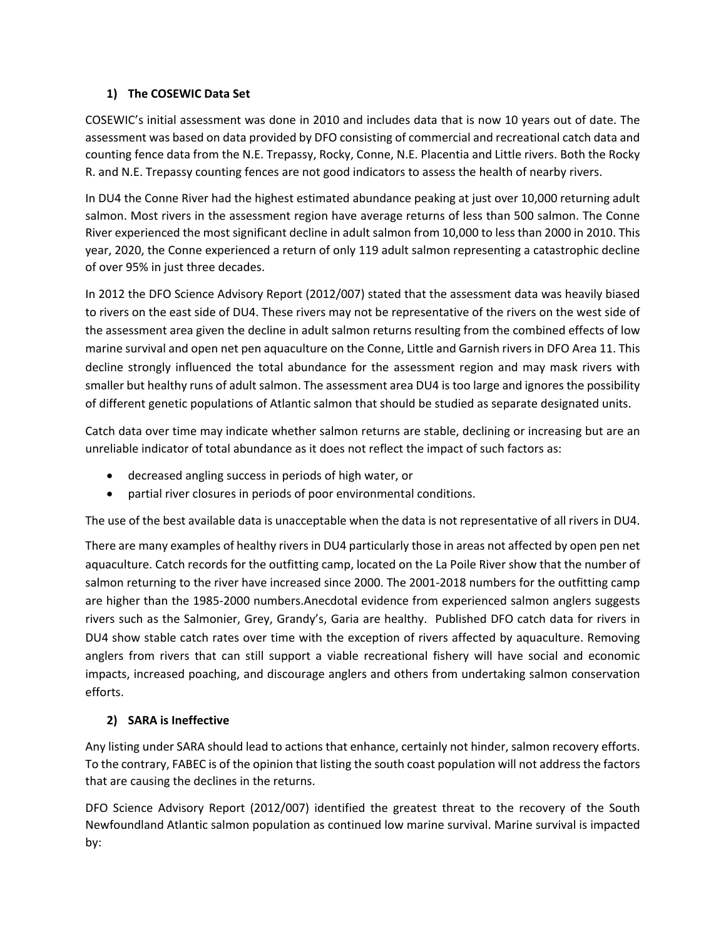#### **1) The COSEWIC Data Set**

COSEWIC's initial assessment was done in 2010 and includes data that is now 10 years out of date. The assessment was based on data provided by DFO consisting of commercial and recreational catch data and counting fence data from the N.E. Trepassy, Rocky, Conne, N.E. Placentia and Little rivers. Both the Rocky R. and N.E. Trepassy counting fences are not good indicators to assess the health of nearby rivers.

In DU4 the Conne River had the highest estimated abundance peaking at just over 10,000 returning adult salmon. Most rivers in the assessment region have average returns of less than 500 salmon. The Conne River experienced the most significant decline in adult salmon from 10,000 to less than 2000 in 2010. This year, 2020, the Conne experienced a return of only 119 adult salmon representing a catastrophic decline of over 95% in just three decades.

In 2012 the DFO Science Advisory Report (2012/007) stated that the assessment data was heavily biased to rivers on the east side of DU4. These rivers may not be representative of the rivers on the west side of the assessment area given the decline in adult salmon returns resulting from the combined effects of low marine survival and open net pen aquaculture on the Conne, Little and Garnish rivers in DFO Area 11. This decline strongly influenced the total abundance for the assessment region and may mask rivers with smaller but healthy runs of adult salmon. The assessment area DU4 is too large and ignores the possibility of different genetic populations of Atlantic salmon that should be studied as separate designated units.

Catch data over time may indicate whether salmon returns are stable, declining or increasing but are an unreliable indicator of total abundance as it does not reflect the impact of such factors as:

- decreased angling success in periods of high water, or
- partial river closures in periods of poor environmental conditions.

The use of the best available data is unacceptable when the data is not representative of all rivers in DU4.

There are many examples of healthy rivers in DU4 particularly those in areas not affected by open pen net aquaculture. Catch records for the outfitting camp, located on the La Poile River show that the number of salmon returning to the river have increased since 2000. The 2001-2018 numbers for the outfitting camp are higher than the 1985-2000 numbers.Anecdotal evidence from experienced salmon anglers suggests rivers such as the Salmonier, Grey, Grandy's, Garia are healthy. Published DFO catch data for rivers in DU4 show stable catch rates over time with the exception of rivers affected by aquaculture. Removing anglers from rivers that can still support a viable recreational fishery will have social and economic impacts, increased poaching, and discourage anglers and others from undertaking salmon conservation efforts.

# **2) SARA is Ineffective**

Any listing under SARA should lead to actions that enhance, certainly not hinder, salmon recovery efforts. To the contrary, FABEC is of the opinion that listing the south coast population will not address the factors that are causing the declines in the returns.

DFO Science Advisory Report (2012/007) identified the greatest threat to the recovery of the South Newfoundland Atlantic salmon population as continued low marine survival. Marine survival is impacted by: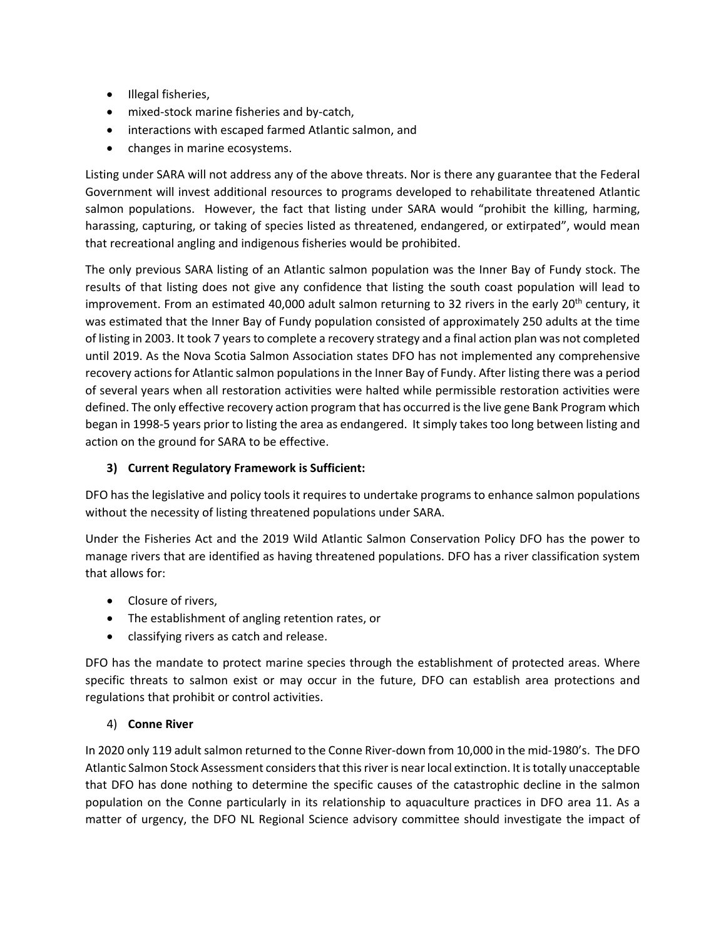- Illegal fisheries,
- mixed-stock marine fisheries and by-catch,
- interactions with escaped farmed Atlantic salmon, and
- changes in marine ecosystems.

Listing under SARA will not address any of the above threats. Nor is there any guarantee that the Federal Government will invest additional resources to programs developed to rehabilitate threatened Atlantic salmon populations. However, the fact that listing under SARA would "prohibit the killing, harming, harassing, capturing, or taking of species listed as threatened, endangered, or extirpated", would mean that recreational angling and indigenous fisheries would be prohibited.

The only previous SARA listing of an Atlantic salmon population was the Inner Bay of Fundy stock. The results of that listing does not give any confidence that listing the south coast population will lead to improvement. From an estimated 40,000 adult salmon returning to 32 rivers in the early  $20<sup>th</sup>$  century, it was estimated that the Inner Bay of Fundy population consisted of approximately 250 adults at the time of listing in 2003. It took 7 years to complete a recovery strategy and a final action plan was not completed until 2019. As the Nova Scotia Salmon Association states DFO has not implemented any comprehensive recovery actions for Atlantic salmon populations in the Inner Bay of Fundy. After listing there was a period of several years when all restoration activities were halted while permissible restoration activities were defined. The only effective recovery action program that has occurred is the live gene Bank Program which began in 1998-5 years prior to listing the area as endangered. It simply takes too long between listing and action on the ground for SARA to be effective.

## **3) Current Regulatory Framework is Sufficient:**

DFO has the legislative and policy tools it requires to undertake programs to enhance salmon populations without the necessity of listing threatened populations under SARA.

Under the Fisheries Act and the 2019 Wild Atlantic Salmon Conservation Policy DFO has the power to manage rivers that are identified as having threatened populations. DFO has a river classification system that allows for:

- Closure of rivers,
- The establishment of angling retention rates, or
- classifying rivers as catch and release.

DFO has the mandate to protect marine species through the establishment of protected areas. Where specific threats to salmon exist or may occur in the future, DFO can establish area protections and regulations that prohibit or control activities.

# 4) **Conne River**

In 2020 only 119 adult salmon returned to the Conne River-down from 10,000 in the mid-1980's. The DFO Atlantic Salmon Stock Assessment considers that this river is near local extinction. It is totally unacceptable that DFO has done nothing to determine the specific causes of the catastrophic decline in the salmon population on the Conne particularly in its relationship to aquaculture practices in DFO area 11. As a matter of urgency, the DFO NL Regional Science advisory committee should investigate the impact of